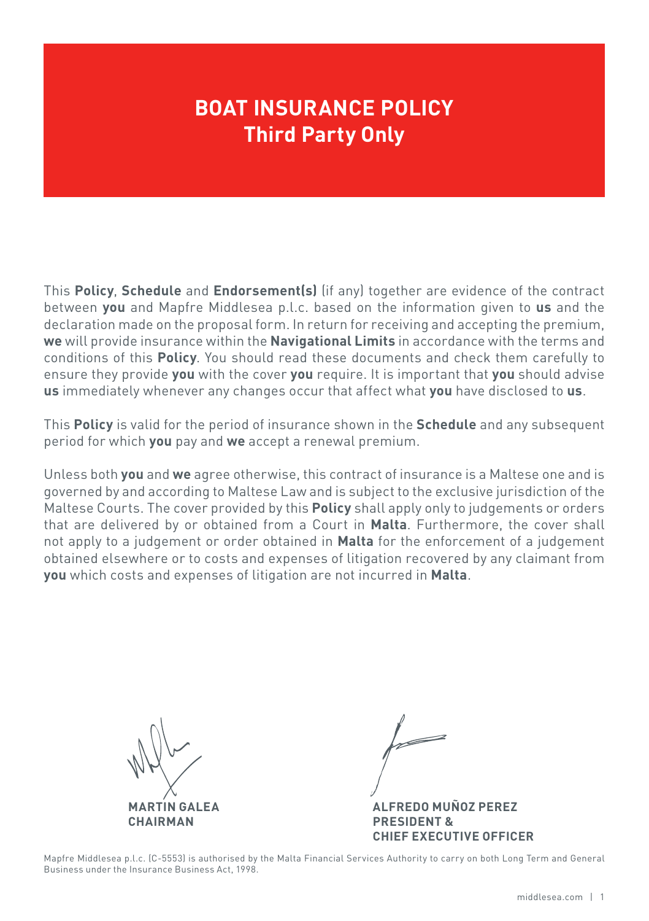## **BOAT INSURANCE POLICY Third Party Only**

This **Policy**, **Schedule** and **Endorsement(s)** (if any) together are evidence of the contract between **you** and Mapfre Middlesea p.l.c. based on the information given to **us** and the declaration made on the proposal form. In return for receiving and accepting the premium, **we** will provide insurance within the **Navigational Limits** in accordance with the terms and conditions of this **Policy**. You should read these documents and check them carefully to ensure they provide **you** with the cover **you** require. It is important that **you** should advise **us** immediately whenever any changes occur that affect what **you** have disclosed to **us**.

This **Policy** is valid for the period of insurance shown in the **Schedule** and any subsequent period for which **you** pay and **we** accept a renewal premium.

Unless both **you** and **we** agree otherwise, this contract of insurance is a Maltese one and is governed by and according to Maltese Law and is subject to the exclusive jurisdiction of the Maltese Courts. The cover provided by this **Policy** shall apply only to judgements or orders that are delivered by or obtained from a Court in **Malta**. Furthermore, the cover shall not apply to a judgement or order obtained in **Malta** for the enforcement of a judgement obtained elsewhere or to costs and expenses of litigation recovered by any claimant from **you** which costs and expenses of litigation are not incurred in **Malta**.

**MARTIN GALEA CHAIRMAN**

**ALFREDO MUÑOZ PEREZ**

**PRESIDENT & CHIEF EXECUTIVE OFFICER**

Mapfre Middlesea p.l.c. (C-5553) is authorised by the Malta Financial Services Authority to carry on both Long Term and General Business under the Insurance Business Act, 1998.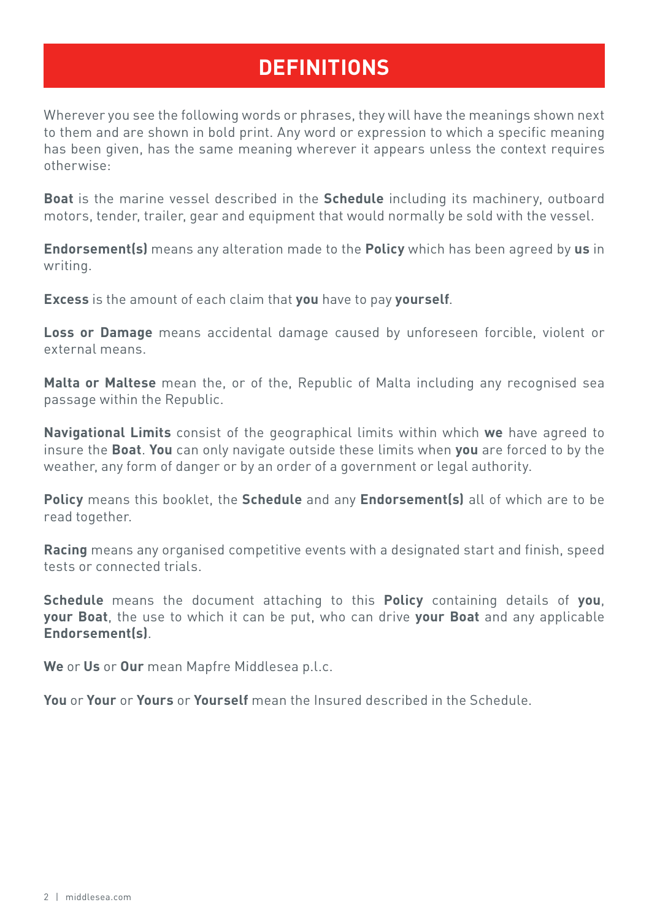### **DEFINITIONS**

Wherever you see the following words or phrases, they will have the meanings shown next to them and are shown in bold print. Any word or expression to which a specific meaning has been given, has the same meaning wherever it appears unless the context requires otherwise:

**Boat** is the marine vessel described in the **Schedule** including its machinery, outboard motors, tender, trailer, gear and equipment that would normally be sold with the vessel.

**Endorsement(s)** means any alteration made to the **Policy** which has been agreed by **us** in writing.

**Excess** is the amount of each claim that **you** have to pay **yourself**.

**Loss or Damage** means accidental damage caused by unforeseen forcible, violent or external means.

**Malta or Maltese** mean the, or of the, Republic of Malta including any recognised sea passage within the Republic.

**Navigational Limits** consist of the geographical limits within which **we** have agreed to insure the **Boat**. **You** can only navigate outside these limits when **you** are forced to by the weather, any form of danger or by an order of a government or legal authority.

**Policy** means this booklet, the **Schedule** and any **Endorsement(s)** all of which are to be read together.

**Racing** means any organised competitive events with a designated start and finish, speed tests or connected trials.

**Schedule** means the document attaching to this **Policy** containing details of **you**, **your Boat**, the use to which it can be put, who can drive **your Boat** and any applicable **Endorsement(s)**.

**We** or **Us** or **Our** mean Mapfre Middlesea p.l.c.

**You** or **Your** or **Yours** or **Yourself** mean the Insured described in the Schedule.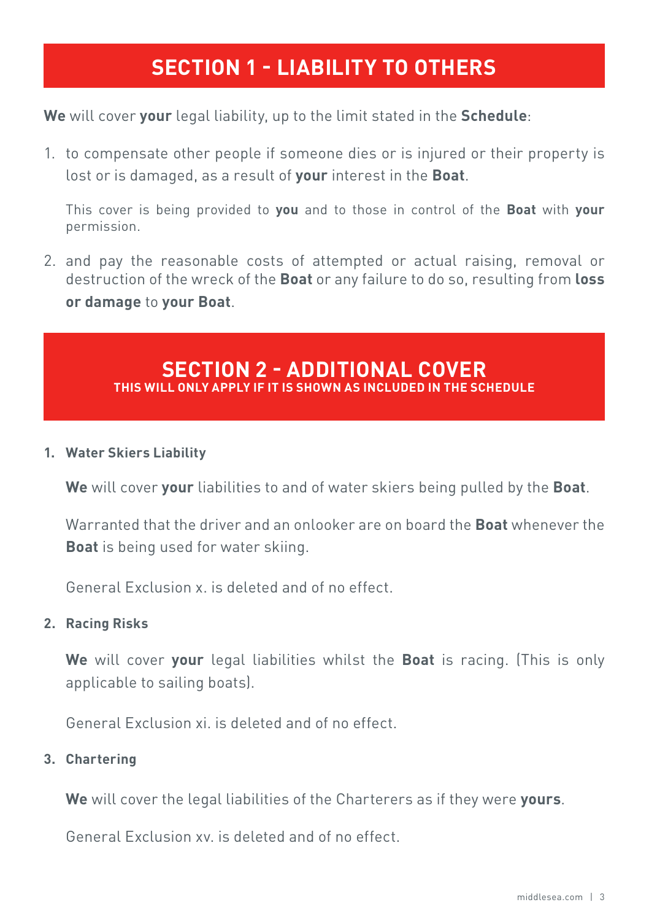### **SECTION 1 - LIABILITY TO OTHERS**

**We** will cover **your** legal liability, up to the limit stated in the **Schedule**:

1. to compensate other people if someone dies or is injured or their property is lost or is damaged, as a result of **your** interest in the **Boat**.

This cover is being provided to **you** and to those in control of the **Boat** with **your** permission.

2. and pay the reasonable costs of attempted or actual raising, removal or destruction of the wreck of the **Boat** or any failure to do so, resulting from **loss or damage** to **your Boat**.

### **SECTION 2 - ADDITIONAL COVER THIS WILL ONLY APPLY IF IT IS SHOWN AS INCLUDED IN THE SCHEDULE**

#### **1. Water Skiers Liability**

**We** will cover **your** liabilities to and of water skiers being pulled by the **Boat**.

Warranted that the driver and an onlooker are on board the **Boat** whenever the **Boat** is being used for water skiing.

General Exclusion x. is deleted and of no effect.

#### **2. Racing Risks**

**We** will cover **your** legal liabilities whilst the **Boat** is racing. (This is only applicable to sailing boats).

General Exclusion xi. is deleted and of no effect.

#### **3. Chartering**

**We** will cover the legal liabilities of the Charterers as if they were **yours**.

General Exclusion xv. is deleted and of no effect.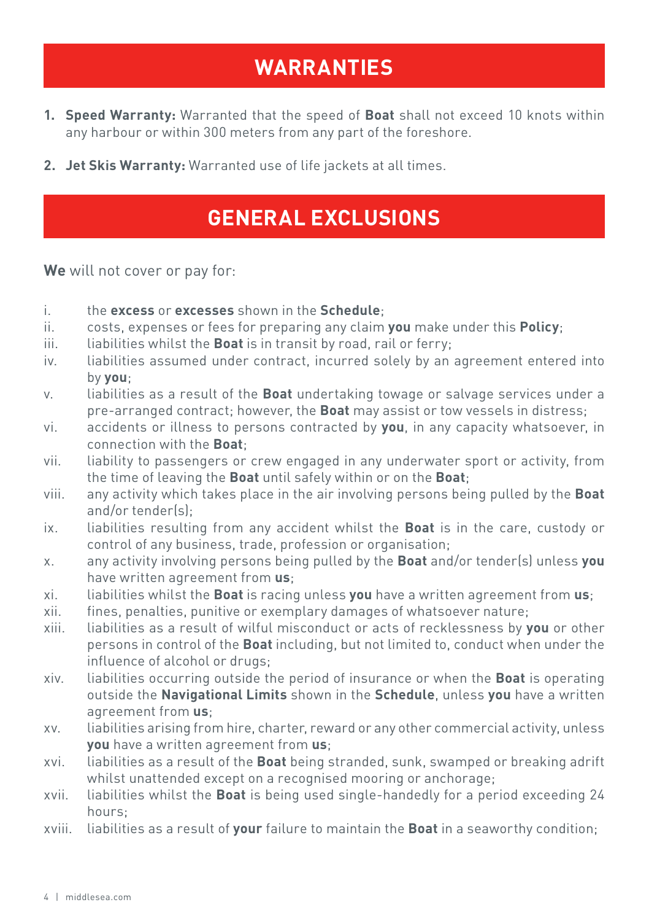### **WARRANTIES**

- **1. Speed Warranty:** Warranted that the speed of **Boat** shall not exceed 10 knots within any harbour or within 300 meters from any part of the foreshore.
- **2. Jet Skis Warranty:** Warranted use of life jackets at all times.

### **GENERAL EXCLUSIONS**

**We** will not cover or pay for:

- i. the **excess** or **excesses** shown in the **Schedule**;
- ii. costs, expenses or fees for preparing any claim **you** make under this **Policy**;
- iii. liabilities whilst the **Boat** is in transit by road, rail or ferry;
- iv. liabilities assumed under contract, incurred solely by an agreement entered into by **you**;
- v. liabilities as a result of the **Boat** undertaking towage or salvage services under a pre-arranged contract; however, the **Boat** may assist or tow vessels in distress;
- vi. accidents or illness to persons contracted by **you**, in any capacity whatsoever, in connection with the **Boat**;
- vii. liability to passengers or crew engaged in any underwater sport or activity, from the time of leaving the **Boat** until safely within or on the **Boat**;
- viii. any activity which takes place in the air involving persons being pulled by the **Boat**  and/or tender(s);
- ix. liabilities resulting from any accident whilst the **Boat** is in the care, custody or control of any business, trade, profession or organisation;
- x. any activity involving persons being pulled by the **Boat** and/or tender(s) unless **you** have written agreement from **us**;
- xi. liabilities whilst the **Boat** is racing unless **you** have a written agreement from **us**;
- xii. fines, penalties, punitive or exemplary damages of whatsoever nature;
- xiii. liabilities as a result of wilful misconduct or acts of recklessness by **you** or other persons in control of the **Boat** including, but not limited to, conduct when under the influence of alcohol or drugs;
- xiv. liabilities occurring outside the period of insurance or when the **Boat** is operating outside the **Navigational Limits** shown in the **Schedule**, unless **you** have a written agreement from **us**;
- xv. liabilities arising from hire, charter, reward or any other commercial activity, unless **you** have a written agreement from **us**;
- xvi. liabilities as a result of the **Boat** being stranded, sunk, swamped or breaking adrift whilst unattended except on a recognised mooring or anchorage;
- xvii. liabilities whilst the **Boat** is being used single-handedly for a period exceeding 24 hours;
- xviii. liabilities as a result of **your** failure to maintain the **Boat** in a seaworthy condition;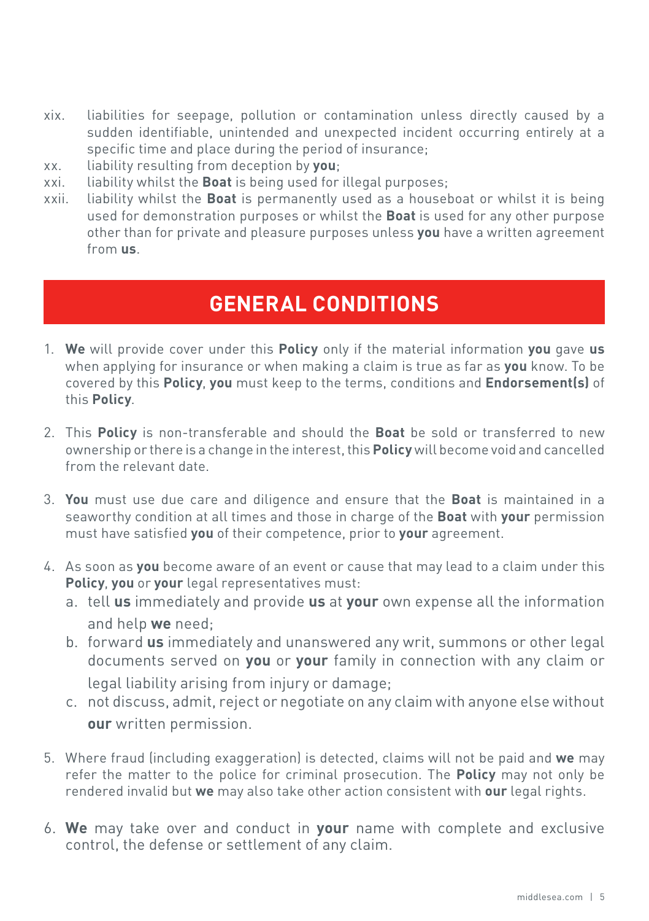- xix. liabilities for seepage, pollution or contamination unless directly caused by a sudden identifiable, unintended and unexpected incident occurring entirely at a specific time and place during the period of insurance;
- xx. liability resulting from deception by **you**;
- xxi. liability whilst the **Boat** is being used for illegal purposes;
- xxii. liability whilst the **Boat** is permanently used as a houseboat or whilst it is being used for demonstration purposes or whilst the **Boat** is used for any other purpose other than for private and pleasure purposes unless **you** have a written agreement from **us**.

### **GENERAL CONDITIONS**

- 1. **We** will provide cover under this **Policy** only if the material information **you** gave **us** when applying for insurance or when making a claim is true as far as **you** know. To be covered by this **Policy**, **you** must keep to the terms, conditions and **Endorsement(s)** of this **Policy**.
- 2. This **Policy** is non-transferable and should the **Boat** be sold or transferred to new ownership or there is a change in the interest, this **Policy** will become void and cancelled from the relevant date.
- 3. **You** must use due care and diligence and ensure that the **Boat** is maintained in a seaworthy condition at all times and those in charge of the **Boat** with **your** permission must have satisfied **you** of their competence, prior to **your** agreement.
- 4. As soon as **you** become aware of an event or cause that may lead to a claim under this **Policy**, **you** or **your** legal representatives must:
	- a. tell **us** immediately and provide **us** at **your** own expense all the information and help **we** need;
	- b. forward **us** immediately and unanswered any writ, summons or other legal documents served on **you** or **your** family in connection with any claim or legal liability arising from injury or damage;
	- c. not discuss, admit, reject or negotiate on any claim with anyone else without **our** written permission.
- 5. Where fraud (including exaggeration) is detected, claims will not be paid and **we** may refer the matter to the police for criminal prosecution. The **Policy** may not only be rendered invalid but **we** may also take other action consistent with **our** legal rights.
- 6. **We** may take over and conduct in **your** name with complete and exclusive control, the defense or settlement of any claim.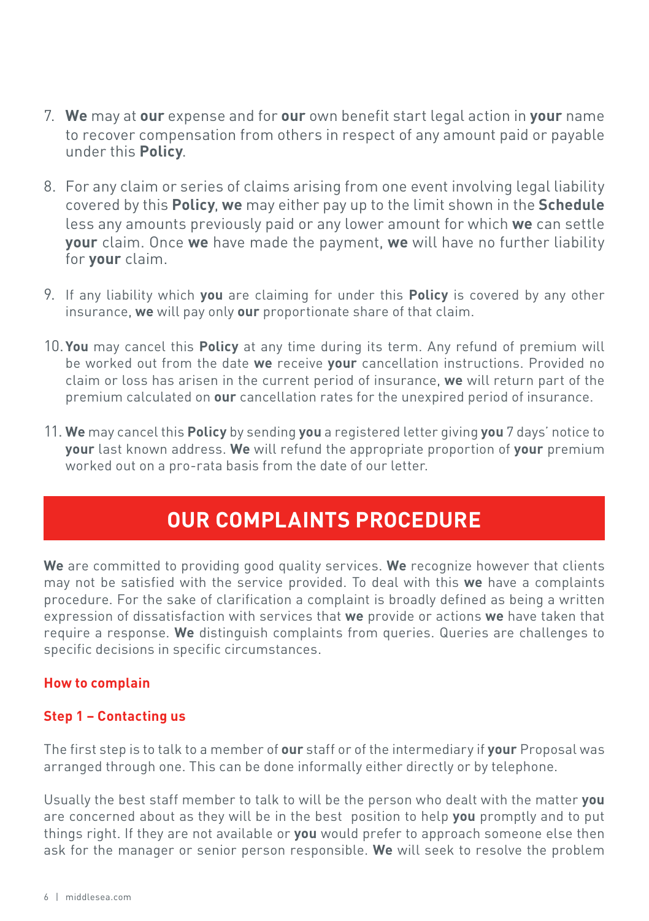- 7. **We** may at **our** expense and for **our** own benefit start legal action in **your** name to recover compensation from others in respect of any amount paid or payable under this **Policy**.
- 8. For any claim or series of claims arising from one event involving legal liability covered by this **Policy**, **we** may either pay up to the limit shown in the **Schedule** less any amounts previously paid or any lower amount for which **we** can settle **your** claim. Once **we** have made the payment, **we** will have no further liability for **your** claim.
- 9. If any liability which **you** are claiming for under this **Policy** is covered by any other insurance, **we** will pay only **our** proportionate share of that claim.
- 10.**You** may cancel this **Policy** at any time during its term. Any refund of premium will be worked out from the date **we** receive **your** cancellation instructions. Provided no claim or loss has arisen in the current period of insurance, **we** will return part of the premium calculated on **our** cancellation rates for the unexpired period of insurance.
- 11. **We** may cancel this **Policy** by sending **you** a registered letter giving **you** 7 days' notice to **your** last known address. **We** will refund the appropriate proportion of **your** premium worked out on a pro-rata basis from the date of our letter.

### **OUR COMPLAINTS PROCEDURE**

**We** are committed to providing good quality services. **We** recognize however that clients may not be satisfied with the service provided. To deal with this **we** have a complaints procedure. For the sake of clarification a complaint is broadly defined as being a written expression of dissatisfaction with services that **we** provide or actions **we** have taken that require a response. **We** distinguish complaints from queries. Queries are challenges to specific decisions in specific circumstances.

#### **How to complain**

#### **Step 1 – Contacting us**

The first step is to talk to a member of **our** staff or of the intermediary if **your** Proposal was arranged through one. This can be done informally either directly or by telephone.

Usually the best staff member to talk to will be the person who dealt with the matter **you** are concerned about as they will be in the best position to help **you** promptly and to put things right. If they are not available or **you** would prefer to approach someone else then ask for the manager or senior person responsible. **We** will seek to resolve the problem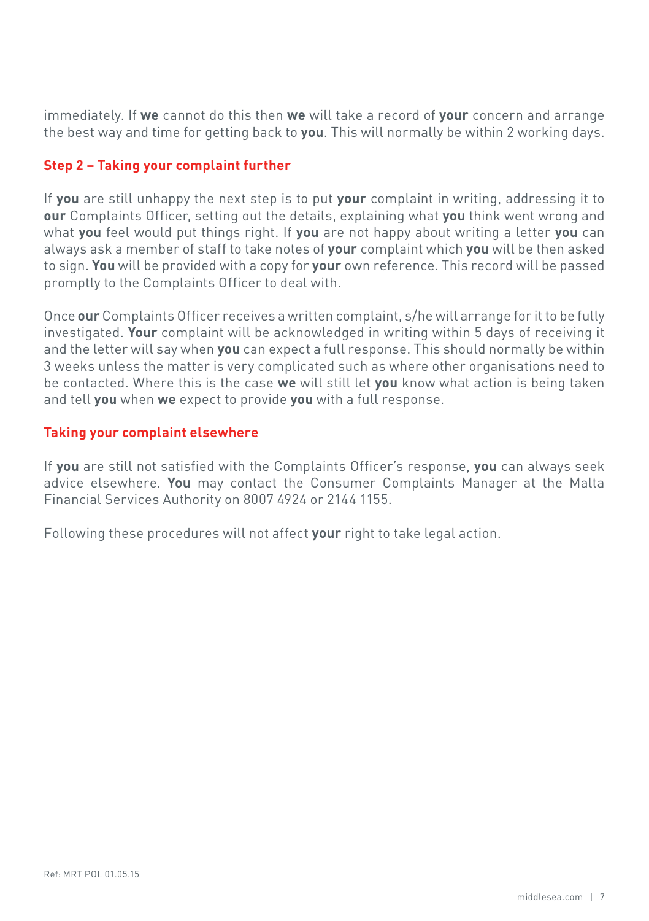immediately. If **we** cannot do this then **we** will take a record of **your** concern and arrange the best way and time for getting back to **you**. This will normally be within 2 working days.

#### **Step 2 – Taking your complaint further**

If **you** are still unhappy the next step is to put **your** complaint in writing, addressing it to **our** Complaints Officer, setting out the details, explaining what **you** think went wrong and what **you** feel would put things right. If **you** are not happy about writing a letter **you** can always ask a member of staff to take notes of **your** complaint which **you** will be then asked to sign. **You** will be provided with a copy for **your** own reference. This record will be passed promptly to the Complaints Officer to deal with.

Once **our** Complaints Officer receives a written complaint, s/he will arrange for it to be fully investigated. **Your** complaint will be acknowledged in writing within 5 days of receiving it and the letter will say when **you** can expect a full response. This should normally be within 3 weeks unless the matter is very complicated such as where other organisations need to be contacted. Where this is the case **we** will still let **you** know what action is being taken and tell **you** when **we** expect to provide **you** with a full response.

#### **Taking your complaint elsewhere**

If **you** are still not satisfied with the Complaints Officer's response, **you** can always seek advice elsewhere. **You** may contact the Consumer Complaints Manager at the Malta Financial Services Authority on 8007 4924 or 2144 1155.

Following these procedures will not affect **your** right to take legal action.